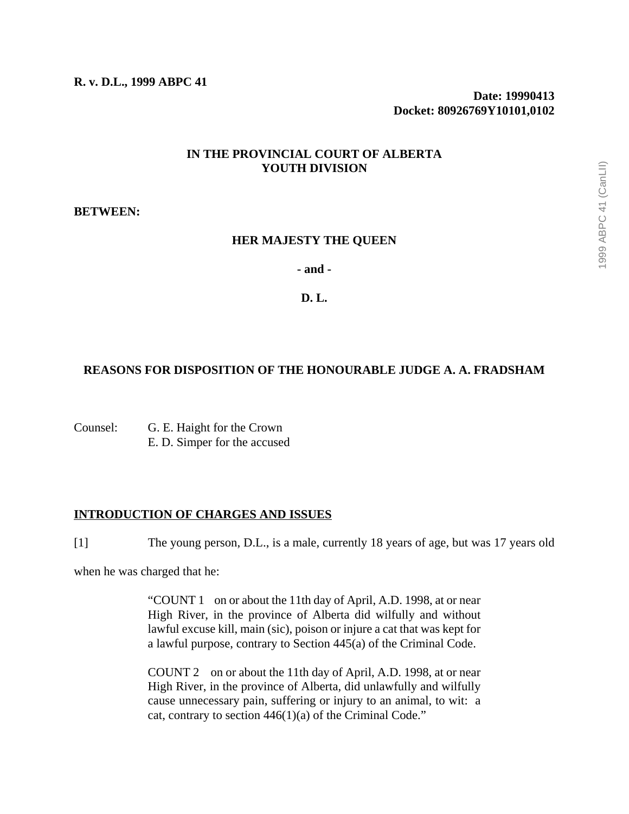**R. v. D.L., 1999 ABPC 41**

**Date: 19990413 Docket: 80926769Y10101,0102**

# **IN THE PROVINCIAL COURT OF ALBERTA YOUTH DIVISION**

## **BETWEEN:**

## **HER MAJESTY THE QUEEN**

**- and -**

## **D. L.**

# **REASONS FOR DISPOSITION OF THE HONOURABLE JUDGE A. A. FRADSHAM**

Counsel: G. E. Haight for the Crown E. D. Simper for the accused

## **INTRODUCTION OF CHARGES AND ISSUES**

[1] The young person, D.L., is a male, currently 18 years of age, but was 17 years old

when he was charged that he:

"COUNT 1 on or about the 11th day of April, A.D. 1998, at or near High River, in the province of Alberta did wilfully and without lawful excuse kill, main (sic), poison or injure a cat that was kept for a lawful purpose, contrary to Section 445(a) of the Criminal Code.

COUNT 2 on or about the 11th day of April, A.D. 1998, at or near High River, in the province of Alberta, did unlawfully and wilfully cause unnecessary pain, suffering or injury to an animal, to wit: a cat, contrary to section 446(1)(a) of the Criminal Code."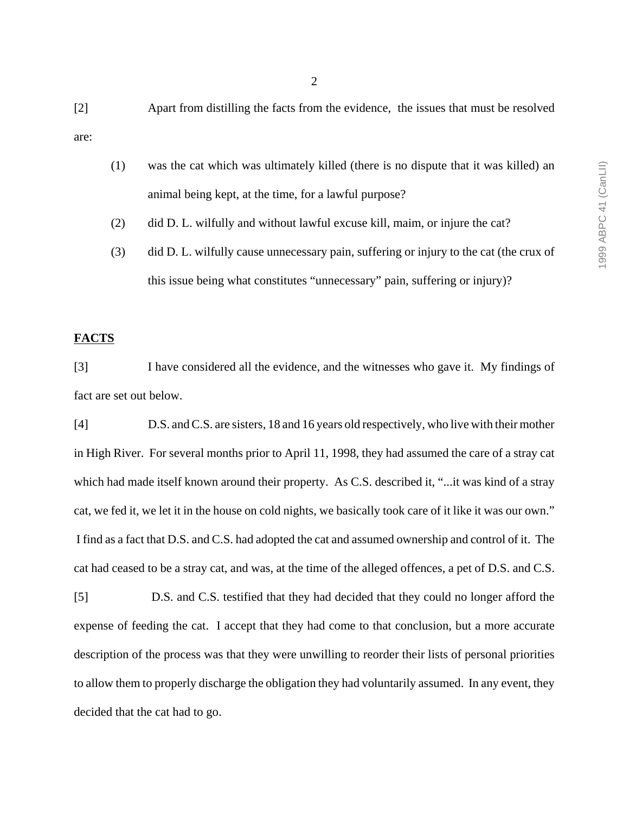[2] Apart from distilling the facts from the evidence, the issues that must be resolved are:

- (1) was the cat which was ultimately killed (there is no dispute that it was killed) an animal being kept, at the time, for a lawful purpose?
- (2) did D. L. wilfully and without lawful excuse kill, maim, or injure the cat?
- (3) did D. L. wilfully cause unnecessary pain, suffering or injury to the cat (the crux of this issue being what constitutes "unnecessary" pain, suffering or injury)?

# **FACTS**

[3] I have considered all the evidence, and the witnesses who gave it. My findings of fact are set out below.

[4] D.S. and C.S. are sisters, 18 and 16 years old respectively, who live with their mother in High River. For several months prior to April 11, 1998, they had assumed the care of a stray cat which had made itself known around their property. As C.S. described it, "...it was kind of a stray cat, we fed it, we let it in the house on cold nights, we basically took care of it like it was our own." I find as a fact that D.S. and C.S. had adopted the cat and assumed ownership and control of it. The cat had ceased to be a stray cat, and was, at the time of the alleged offences, a pet of D.S. and C.S.

[5] D.S. and C.S. testified that they had decided that they could no longer afford the expense of feeding the cat. I accept that they had come to that conclusion, but a more accurate description of the process was that they were unwilling to reorder their lists of personal priorities to allow them to properly discharge the obligation they had voluntarily assumed. In any event, they decided that the cat had to go.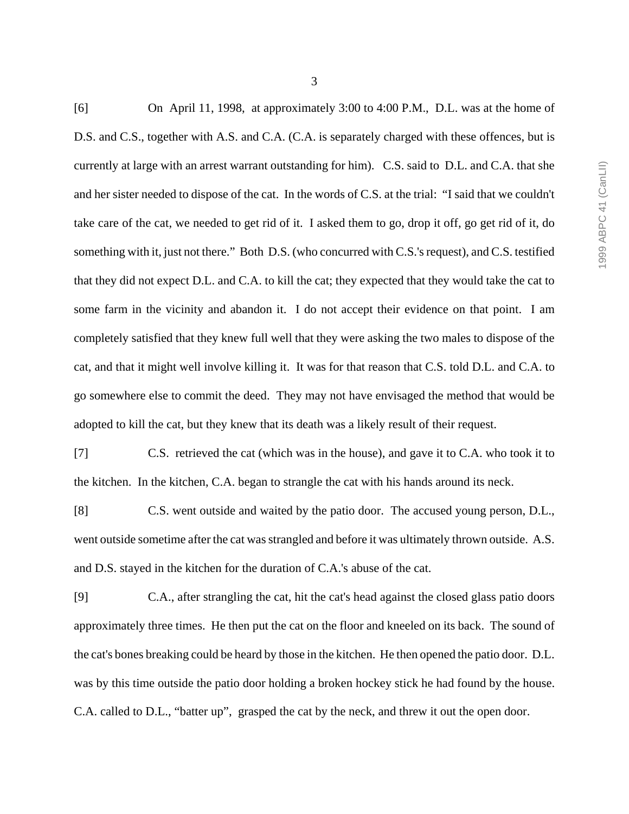[6] On April 11, 1998, at approximately 3:00 to 4:00 P.M., D.L. was at the home of D.S. and C.S., together with A.S. and C.A. (C.A. is separately charged with these offences, but is currently at large with an arrest warrant outstanding for him). C.S. said to D.L. and C.A. that she and her sister needed to dispose of the cat. In the words of C.S. at the trial: "I said that we couldn't take care of the cat, we needed to get rid of it. I asked them to go, drop it off, go get rid of it, do something with it, just not there." Both D.S. (who concurred with C.S.'s request), and C.S. testified that they did not expect D.L. and C.A. to kill the cat; they expected that they would take the cat to some farm in the vicinity and abandon it. I do not accept their evidence on that point. I am completely satisfied that they knew full well that they were asking the two males to dispose of the cat, and that it might well involve killing it. It was for that reason that C.S. told D.L. and C.A. to go somewhere else to commit the deed. They may not have envisaged the method that would be adopted to kill the cat, but they knew that its death was a likely result of their request.

[7] C.S. retrieved the cat (which was in the house), and gave it to C.A. who took it to the kitchen. In the kitchen, C.A. began to strangle the cat with his hands around its neck.

[8] C.S. went outside and waited by the patio door. The accused young person, D.L., went outside sometime after the cat was strangled and before it was ultimately thrown outside. A.S. and D.S. stayed in the kitchen for the duration of C.A.'s abuse of the cat.

[9] C.A., after strangling the cat, hit the cat's head against the closed glass patio doors approximately three times. He then put the cat on the floor and kneeled on its back. The sound of the cat's bones breaking could be heard by those in the kitchen. He then opened the patio door. D.L. was by this time outside the patio door holding a broken hockey stick he had found by the house. C.A. called to D.L., "batter up", grasped the cat by the neck, and threw it out the open door.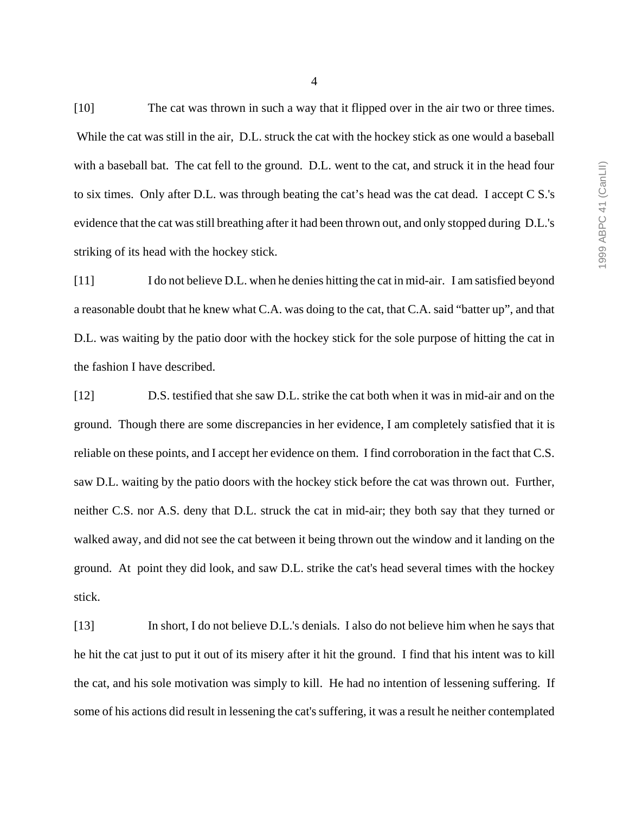[10] The cat was thrown in such a way that it flipped over in the air two or three times. While the cat was still in the air, D.L. struck the cat with the hockey stick as one would a baseball with a baseball bat. The cat fell to the ground. D.L. went to the cat, and struck it in the head four to six times. Only after D.L. was through beating the cat's head was the cat dead. I accept C S.'s evidence that the cat was still breathing after it had been thrown out, and only stopped during D.L.'s striking of its head with the hockey stick.

[11] I do not believe D.L. when he denies hitting the cat in mid-air. I am satisfied beyond a reasonable doubt that he knew what C.A. was doing to the cat, that C.A. said "batter up", and that D.L. was waiting by the patio door with the hockey stick for the sole purpose of hitting the cat in the fashion I have described.

[12] D.S. testified that she saw D.L. strike the cat both when it was in mid-air and on the ground. Though there are some discrepancies in her evidence, I am completely satisfied that it is reliable on these points, and I accept her evidence on them. I find corroboration in the fact that C.S. saw D.L. waiting by the patio doors with the hockey stick before the cat was thrown out. Further, neither C.S. nor A.S. deny that D.L. struck the cat in mid-air; they both say that they turned or walked away, and did not see the cat between it being thrown out the window and it landing on the ground. At point they did look, and saw D.L. strike the cat's head several times with the hockey stick.

[13] In short, I do not believe D.L.'s denials. I also do not believe him when he says that he hit the cat just to put it out of its misery after it hit the ground. I find that his intent was to kill the cat, and his sole motivation was simply to kill. He had no intention of lessening suffering. If some of his actions did result in lessening the cat's suffering, it was a result he neither contemplated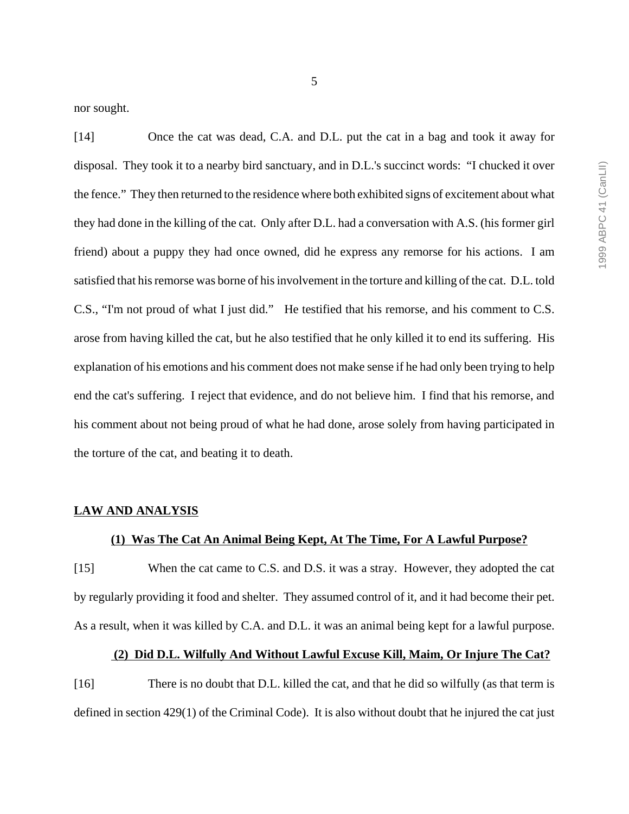nor sought.

[14] Once the cat was dead, C.A. and D.L. put the cat in a bag and took it away for disposal. They took it to a nearby bird sanctuary, and in D.L.'s succinct words: "I chucked it over the fence." They then returned to the residence where both exhibited signs of excitement about what they had done in the killing of the cat. Only after D.L. had a conversation with A.S. (his former girl friend) about a puppy they had once owned, did he express any remorse for his actions. I am satisfied that his remorse was borne of his involvement in the torture and killing of the cat. D.L. told C.S., "I'm not proud of what I just did." He testified that his remorse, and his comment to C.S. arose from having killed the cat, but he also testified that he only killed it to end its suffering. His explanation of his emotions and his comment does not make sense if he had only been trying to help end the cat's suffering. I reject that evidence, and do not believe him. I find that his remorse, and his comment about not being proud of what he had done, arose solely from having participated in the torture of the cat, and beating it to death.

#### **LAW AND ANALYSIS**

## **(1) Was The Cat An Animal Being Kept, At The Time, For A Lawful Purpose?**

[15] When the cat came to C.S. and D.S. it was a stray. However, they adopted the cat by regularly providing it food and shelter. They assumed control of it, and it had become their pet. As a result, when it was killed by C.A. and D.L. it was an animal being kept for a lawful purpose.

### **(2) Did D.L. Wilfully And Without Lawful Excuse Kill, Maim, Or Injure The Cat?**

[16] There is no doubt that D.L. killed the cat, and that he did so wilfully (as that term is defined in section 429(1) of the Criminal Code). It is also without doubt that he injured the cat just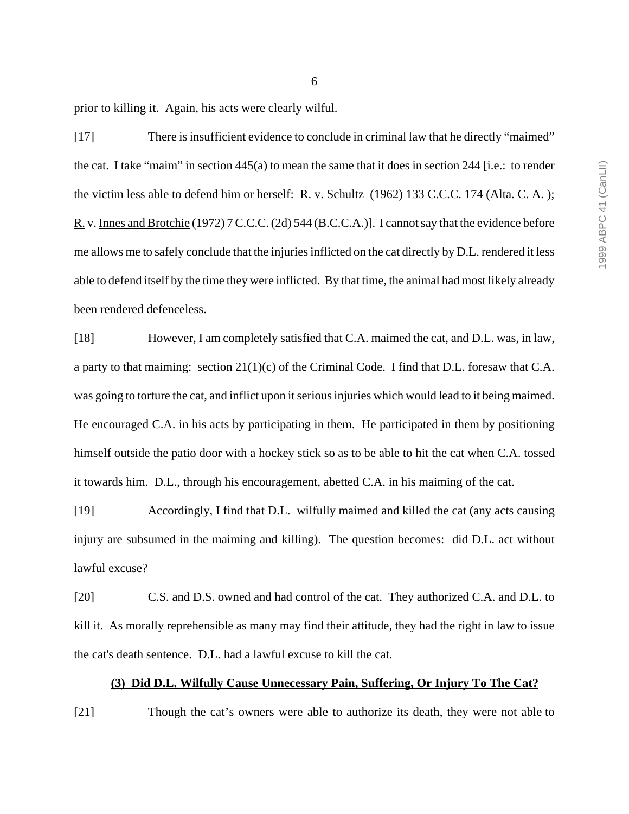1999 ABPC 41 (CanLII) 1999 ABPC 41 (CanLII)

prior to killing it. Again, his acts were clearly wilful.

[17] There is insufficient evidence to conclude in criminal law that he directly "maimed" the cat. I take "maim" in section 445(a) to mean the same that it does in section 244 [i.e.: to render the victim less able to defend him or herself: R. v. Schultz (1962) 133 C.C.C. 174 (Alta. C. A. ); R. v. Innes and Brotchie (1972) 7 C.C.C. (2d) 544 (B.C.C.A.)]. I cannot say that the evidence before me allows me to safely conclude that the injuries inflicted on the cat directly by D.L. rendered it less able to defend itself by the time they were inflicted. By that time, the animal had most likely already been rendered defenceless.

[18] However, I am completely satisfied that C.A. maimed the cat, and D.L. was, in law, a party to that maiming: section 21(1)(c) of the Criminal Code. I find that D.L. foresaw that C.A. was going to torture the cat, and inflict upon it serious injuries which would lead to it being maimed. He encouraged C.A. in his acts by participating in them. He participated in them by positioning himself outside the patio door with a hockey stick so as to be able to hit the cat when C.A. tossed it towards him. D.L., through his encouragement, abetted C.A. in his maiming of the cat.

[19] Accordingly, I find that D.L. wilfully maimed and killed the cat (any acts causing injury are subsumed in the maiming and killing). The question becomes: did D.L. act without lawful excuse?

[20] C.S. and D.S. owned and had control of the cat. They authorized C.A. and D.L. to kill it. As morally reprehensible as many may find their attitude, they had the right in law to issue the cat's death sentence. D.L. had a lawful excuse to kill the cat.

### **(3) Did D.L. Wilfully Cause Unnecessary Pain, Suffering, Or Injury To The Cat?**

[21] Though the cat's owners were able to authorize its death, they were not able to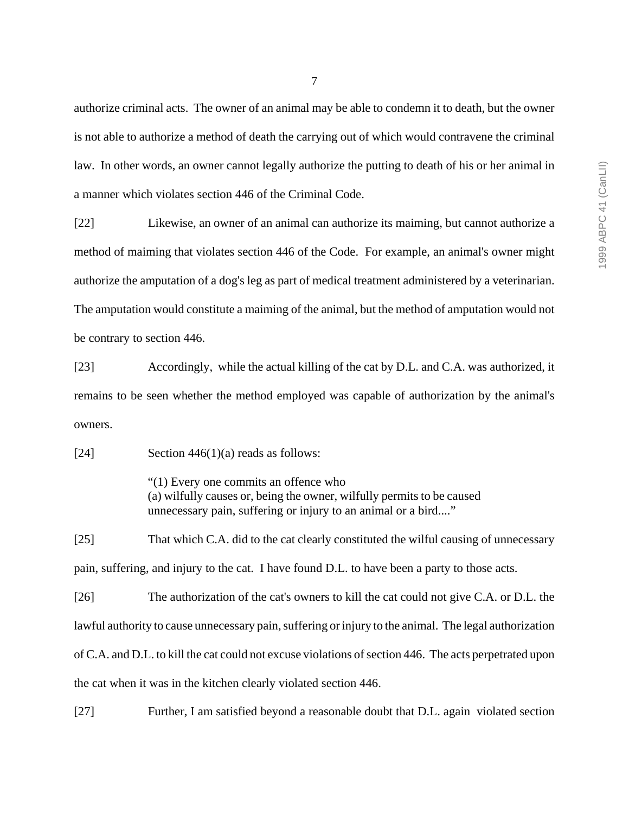authorize criminal acts. The owner of an animal may be able to condemn it to death, but the owner is not able to authorize a method of death the carrying out of which would contravene the criminal law. In other words, an owner cannot legally authorize the putting to death of his or her animal in a manner which violates section 446 of the Criminal Code.

[22] Likewise, an owner of an animal can authorize its maiming, but cannot authorize a method of maiming that violates section 446 of the Code. For example, an animal's owner might authorize the amputation of a dog's leg as part of medical treatment administered by a veterinarian. The amputation would constitute a maiming of the animal, but the method of amputation would not be contrary to section 446.

[23] Accordingly, while the actual killing of the cat by D.L. and C.A. was authorized, it remains to be seen whether the method employed was capable of authorization by the animal's owners.

[24] Section  $446(1)(a)$  reads as follows:

"(1) Every one commits an offence who (a) wilfully causes or, being the owner, wilfully permits to be caused unnecessary pain, suffering or injury to an animal or a bird...."

[25] That which C.A. did to the cat clearly constituted the wilful causing of unnecessary pain, suffering, and injury to the cat. I have found D.L. to have been a party to those acts.

[26] The authorization of the cat's owners to kill the cat could not give C.A. or D.L. the lawful authority to cause unnecessary pain, suffering or injury to the animal. The legal authorization of C.A. and D.L. to kill the cat could not excuse violations of section 446. The acts perpetrated upon the cat when it was in the kitchen clearly violated section 446.

[27] Further, I am satisfied beyond a reasonable doubt that D.L. again violated section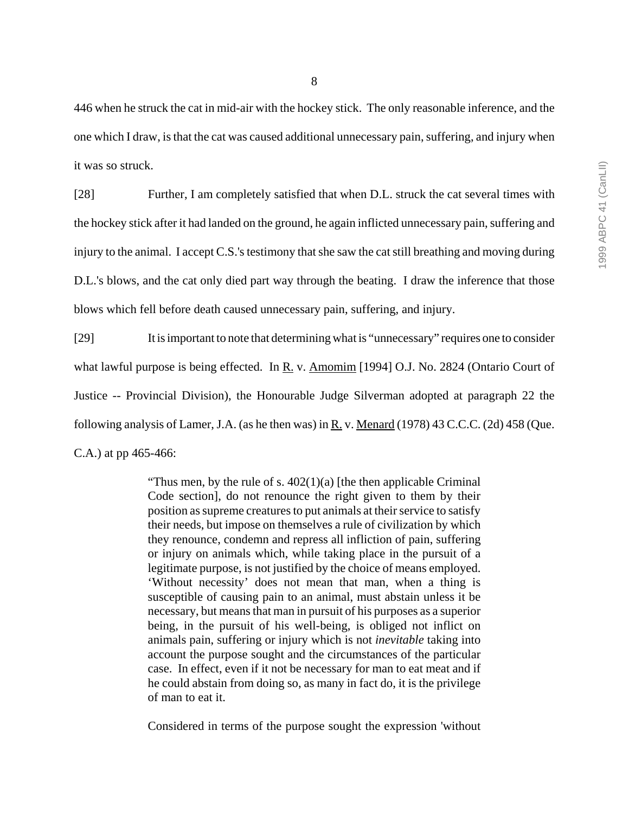8

446 when he struck the cat in mid-air with the hockey stick. The only reasonable inference, and the one which I draw, is that the cat was caused additional unnecessary pain, suffering, and injury when it was so struck.

[28] Further, I am completely satisfied that when D.L. struck the cat several times with the hockey stick after it had landed on the ground, he again inflicted unnecessary pain, suffering and injury to the animal. I accept C.S.'s testimony that she saw the cat still breathing and moving during D.L.'s blows, and the cat only died part way through the beating. I draw the inference that those blows which fell before death caused unnecessary pain, suffering, and injury.

[29] It is important to note that determining what is "unnecessary" requires one to consider what lawful purpose is being effected. In R. v. Amomim [1994] O.J. No. 2824 (Ontario Court of Justice -- Provincial Division), the Honourable Judge Silverman adopted at paragraph 22 the following analysis of Lamer, J.A. (as he then was) in R. v. Menard (1978) 43 C.C.C. (2d) 458 (Que. C.A.) at pp 465-466:

> "Thus men, by the rule of s.  $402(1)(a)$  [the then applicable Criminal] Code section], do not renounce the right given to them by their position as supreme creatures to put animals at their service to satisfy their needs, but impose on themselves a rule of civilization by which they renounce, condemn and repress all infliction of pain, suffering or injury on animals which, while taking place in the pursuit of a legitimate purpose, is not justified by the choice of means employed. 'Without necessity' does not mean that man, when a thing is susceptible of causing pain to an animal, must abstain unless it be necessary, but means that man in pursuit of his purposes as a superior being, in the pursuit of his well-being, is obliged not inflict on animals pain, suffering or injury which is not *inevitable* taking into account the purpose sought and the circumstances of the particular case. In effect, even if it not be necessary for man to eat meat and if he could abstain from doing so, as many in fact do, it is the privilege of man to eat it.

> Considered in terms of the purpose sought the expression 'without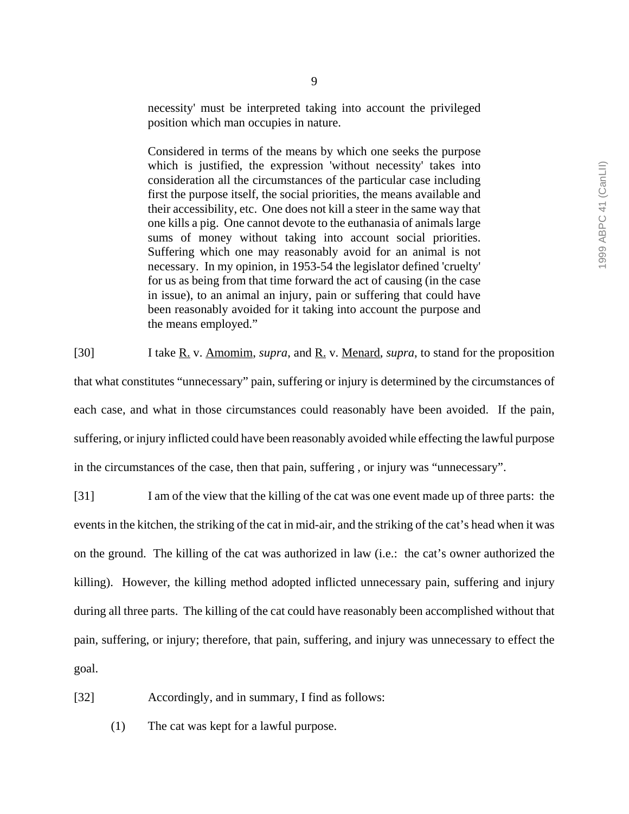necessity' must be interpreted taking into account the privileged position which man occupies in nature.

Considered in terms of the means by which one seeks the purpose which is justified, the expression 'without necessity' takes into consideration all the circumstances of the particular case including first the purpose itself, the social priorities, the means available and their accessibility, etc. One does not kill a steer in the same way that one kills a pig. One cannot devote to the euthanasia of animals large sums of money without taking into account social priorities. Suffering which one may reasonably avoid for an animal is not necessary. In my opinion, in 1953-54 the legislator defined 'cruelty' for us as being from that time forward the act of causing (in the case in issue), to an animal an injury, pain or suffering that could have been reasonably avoided for it taking into account the purpose and the means employed."

[30] I take R. v. Amomim, *supra*, and R. v. Menard, *supra*, to stand for the proposition that what constitutes "unnecessary" pain, suffering or injury is determined by the circumstances of each case, and what in those circumstances could reasonably have been avoided. If the pain, suffering, or injury inflicted could have been reasonably avoided while effecting the lawful purpose in the circumstances of the case, then that pain, suffering , or injury was "unnecessary".

[31] I am of the view that the killing of the cat was one event made up of three parts: the events in the kitchen, the striking of the cat in mid-air, and the striking of the cat's head when it was on the ground. The killing of the cat was authorized in law (i.e.: the cat's owner authorized the killing). However, the killing method adopted inflicted unnecessary pain, suffering and injury during all three parts. The killing of the cat could have reasonably been accomplished without that pain, suffering, or injury; therefore, that pain, suffering, and injury was unnecessary to effect the goal.

[32] Accordingly, and in summary, I find as follows:

(1) The cat was kept for a lawful purpose.